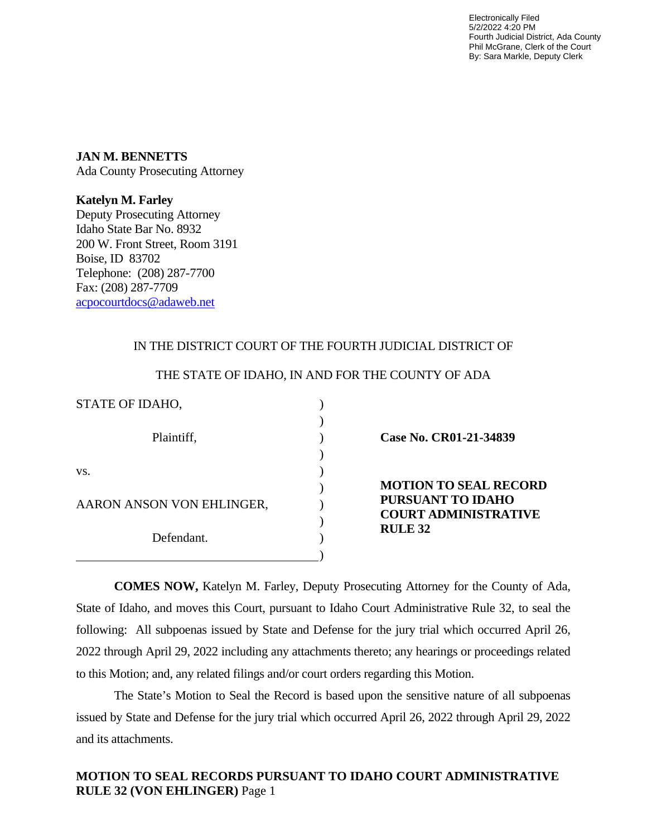Electronically Filed 5/2/2022 4:20 PM Fourth Judicial District, Ada County Phil McGrane, Clerk of the Court By: Sara Markle, Deputy Clerk

**JAN M. BENNETTS** Ada County Prosecuting Attorney

**Katelyn M. Farley** Deputy Prosecuting Attorney Idaho State Bar No. 8932 200 W. Front Street, Room 3191 Boise, ID 83702 Telephone: (208) 287-7700 Fax: (208) 287-7709 [acpocourtdocs@adaweb.net](mailto:acpocourtdocs@adaweb.net)

## IN THE DISTRICT COURT OF THE FOURTH JUDICIAL DISTRICT OF

| Case No. CR01-21-34839                                                                                    |  |
|-----------------------------------------------------------------------------------------------------------|--|
| <b>MOTION TO SEAL RECORD</b><br><b>PURSUANT TO IDAHO</b><br><b>COURT ADMINISTRATIVE</b><br><b>RULE 32</b> |  |
|                                                                                                           |  |

#### THE STATE OF IDAHO, IN AND FOR THE COUNTY OF ADA

**COMES NOW,** Katelyn M. Farley, Deputy Prosecuting Attorney for the County of Ada, State of Idaho, and moves this Court, pursuant to Idaho Court Administrative Rule 32, to seal the following: All subpoenas issued by State and Defense for the jury trial which occurred April 26, 2022 through April 29, 2022 including any attachments thereto; any hearings or proceedings related to this Motion; and, any related filings and/or court orders regarding this Motion.

The State's Motion to Seal the Record is based upon the sensitive nature of all subpoenas issued by State and Defense for the jury trial which occurred April 26, 2022 through April 29, 2022 and its attachments.

# **MOTION TO SEAL RECORDS PURSUANT TO IDAHO COURT ADMINISTRATIVE RULE 32 (VON EHLINGER)** Page 1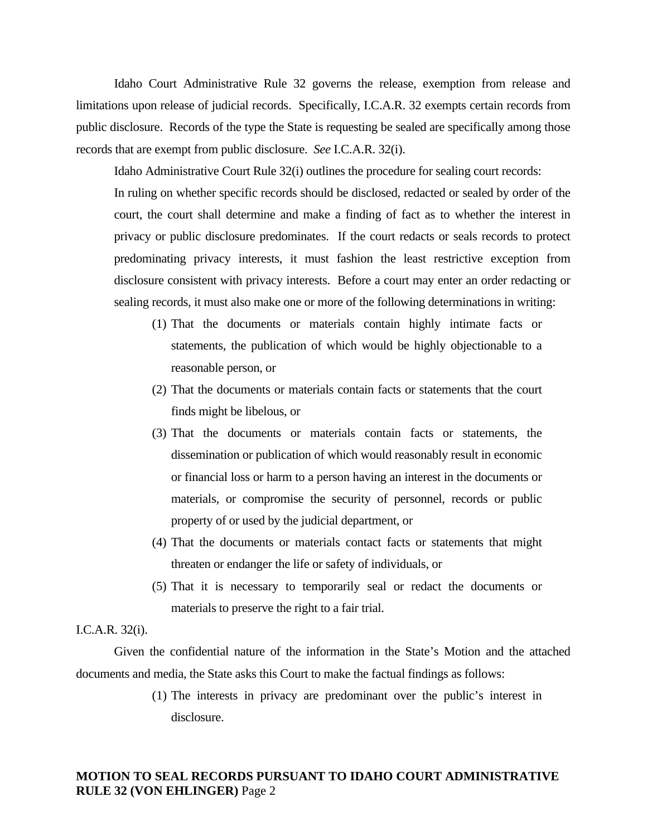Idaho Court Administrative Rule 32 governs the release, exemption from release and limitations upon release of judicial records. Specifically, I.C.A.R. 32 exempts certain records from public disclosure. Records of the type the State is requesting be sealed are specifically among those records that are exempt from public disclosure. *See* I.C.A.R. 32(i).

Idaho Administrative Court Rule 32(i) outlines the procedure for sealing court records:

In ruling on whether specific records should be disclosed, redacted or sealed by order of the court, the court shall determine and make a finding of fact as to whether the interest in privacy or public disclosure predominates. If the court redacts or seals records to protect predominating privacy interests, it must fashion the least restrictive exception from disclosure consistent with privacy interests. Before a court may enter an order redacting or sealing records, it must also make one or more of the following determinations in writing:

- (1) That the documents or materials contain highly intimate facts or statements, the publication of which would be highly objectionable to a reasonable person, or
- (2) That the documents or materials contain facts or statements that the court finds might be libelous, or
- (3) That the documents or materials contain facts or statements, the dissemination or publication of which would reasonably result in economic or financial loss or harm to a person having an interest in the documents or materials, or compromise the security of personnel, records or public property of or used by the judicial department, or
- (4) That the documents or materials contact facts or statements that might threaten or endanger the life or safety of individuals, or
- (5) That it is necessary to temporarily seal or redact the documents or materials to preserve the right to a fair trial.

#### I.C.A.R. 32(i).

Given the confidential nature of the information in the State's Motion and the attached documents and media, the State asks this Court to make the factual findings as follows:

> (1) The interests in privacy are predominant over the public's interest in disclosure.

### **MOTION TO SEAL RECORDS PURSUANT TO IDAHO COURT ADMINISTRATIVE RULE 32 (VON EHLINGER)** Page 2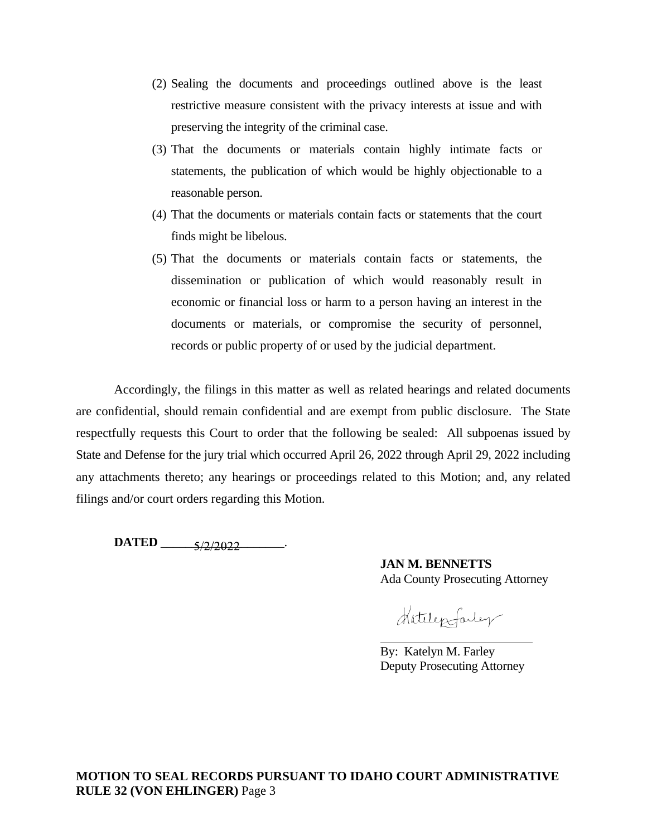- (2) Sealing the documents and proceedings outlined above is the least restrictive measure consistent with the privacy interests at issue and with preserving the integrity of the criminal case.
- (3) That the documents or materials contain highly intimate facts or statements, the publication of which would be highly objectionable to a reasonable person.
- (4) That the documents or materials contain facts or statements that the court finds might be libelous.
- (5) That the documents or materials contain facts or statements, the dissemination or publication of which would reasonably result in economic or financial loss or harm to a person having an interest in the documents or materials, or compromise the security of personnel, records or public property of or used by the judicial department.

Accordingly, the filings in this matter as well as related hearings and related documents are confidential, should remain confidential and are exempt from public disclosure. The State respectfully requests this Court to order that the following be sealed: All subpoenas issued by State and Defense for the jury trial which occurred April 26, 2022 through April 29, 2022 including any attachments thereto; any hearings or proceedings related to this Motion; and, any related filings and/or court orders regarding this Motion.

**DATED** \_\_\_\_\_\_\_\_\_\_\_\_\_\_\_\_\_\_\_\_.

**JAN M. BENNETTS** Ada County Prosecuting Attorney

Hatelepfarley

By: Katelyn M. Farley Deputy Prosecuting Attorney